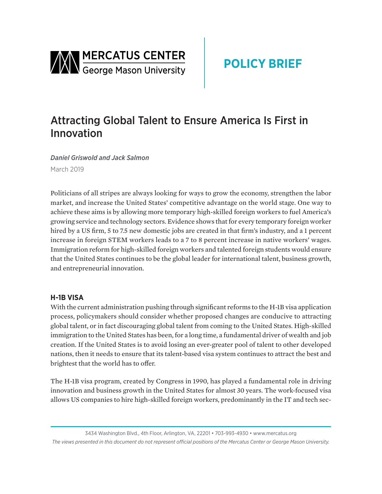

# Attracting Global Talent to Ensure America Is First in Innovation

*Daniel Griswold and Jack Salmon* March 2019

Politicians of all stripes are always looking for ways to grow the economy, strengthen the labor market, and increase the United States' competitive advantage on the world stage. One way to achieve these aims is by allowing more temporary high-skilled foreign workers to fuel America's growing service and technology sectors. Evidence shows that for every temporary foreign worker hired by a US firm, 5 to 7.5 new domestic jobs are created in that firm's industry, and a 1 percent increase in foreign STEM workers leads to a 7 to 8 percent increase in native workers' wages. Immigration reform for high-skilled foreign workers and talented foreign students would ensure that the United States continues to be the global leader for international talent, business growth, and entrepreneurial innovation.

## **H-1B VISA**

With the current administration pushing through significant reforms to the H-1B visa application process, policymakers should consider whether proposed changes are conducive to attracting global talent, or in fact discouraging global talent from coming to the United States. High-skilled immigration to the United States has been, for a long time, a fundamental driver of wealth and job creation. If the United States is to avoid losing an ever-greater pool of talent to other developed nations, then it needs to ensure that its talent-based visa system continues to attract the best and brightest that the world has to offer.

The H-1B visa program, created by Congress in 1990, has played a fundamental role in driving innovation and business growth in the United States for almost 30 years. The work-focused visa allows US companies to hire high-skilled foreign workers, predominantly in the IT and tech sec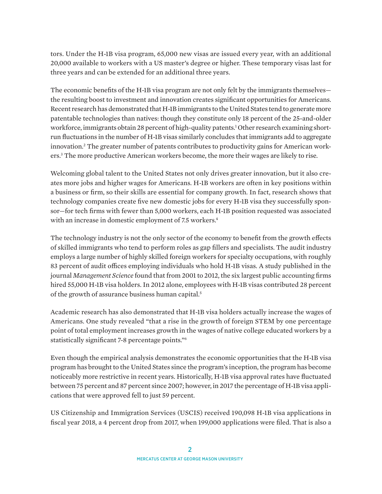tors. Under the H-1B visa program, 65,000 new visas are issued every year, with an additional 20,000 available to workers with a US master's degree or higher. These temporary visas last for three years and can be extended for an additional three years.

The economic benefits of the H-1B visa program are not only felt by the immigrants themselves the resulting boost to investment and innovation creates significant opportunities for Americans. Recent research has demonstrated that H-1B immigrants to the United States tend to generate more patentable technologies than natives: though they constitute only 18 percent of the 25-and-older workforce, immigrants obtain 28 percent of high-quality patents.1 Other research examining shortrun fluctuations in the number of H-1B visas similarly concludes that immigrants add to aggregate innovation.2 The greater number of patents contributes to productivity gains for American workers.3 The more productive American workers become, the more their wages are likely to rise.

Welcoming global talent to the United States not only drives greater innovation, but it also creates more jobs and higher wages for Americans. H-1B workers are often in key positions within a business or firm, so their skills are essential for company growth. In fact, research shows that technology companies create five new domestic jobs for every H-1B visa they successfully sponsor—for tech firms with fewer than 5,000 workers, each H-1B position requested was associated with an increase in domestic employment of 7.5 workers.<sup>4</sup>

The technology industry is not the only sector of the economy to benefit from the growth effects of skilled immigrants who tend to perform roles as gap fillers and specialists. The audit industry employs a large number of highly skilled foreign workers for specialty occupations, with roughly 83 percent of audit offices employing individuals who hold H-1B visas. A study published in the journal *Management Science* found that from 2001 to 2012, the six largest public accounting firms hired 55,000 H-1B visa holders. In 2012 alone, employees with H-1B visas contributed 28 percent of the growth of assurance business human capital.<sup>5</sup>

Academic research has also demonstrated that H-1B visa holders actually increase the wages of Americans. One study revealed "that a rise in the growth of foreign STEM by one percentage point of total employment increases growth in the wages of native college educated workers by a statistically significant 7-8 percentage points."6

Even though the empirical analysis demonstrates the economic opportunities that the H-1B visa program has brought to the United States since the program's inception, the program has become noticeably more restrictive in recent years. Historically, H-1B visa approval rates have fluctuated between 75 percent and 87 percent since 2007; however, in 2017 the percentage of H-1B visa applications that were approved fell to just 59 percent.

US Citizenship and Immigration Services (USCIS) received 190,098 H-1B visa applications in fiscal year 2018, a 4 percent drop from 2017, when 199,000 applications were filed. That is also a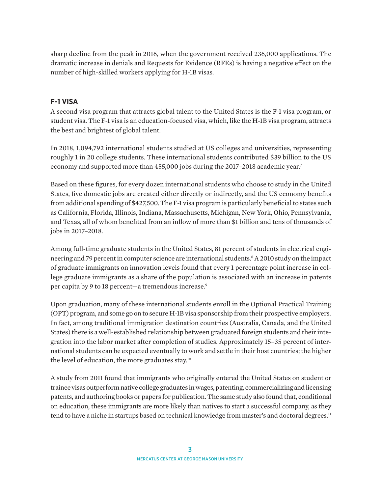sharp decline from the peak in 2016, when the government received 236,000 applications. The dramatic increase in denials and Requests for Evidence (RFEs) is having a negative effect on the number of high-skilled workers applying for H-1B visas.

## **F-1 VISA**

A second visa program that attracts global talent to the United States is the F-1 visa program, or student visa. The F-1 visa is an education-focused visa, which, like the H-1B visa program, attracts the best and brightest of global talent.

In 2018, 1,094,792 international students studied at US colleges and universities, representing roughly 1 in 20 college students. These international students contributed \$39 billion to the US economy and supported more than 455,000 jobs during the 2017–2018 academic year.<sup>7</sup>

Based on these figures, for every dozen international students who choose to study in the United States, five domestic jobs are created either directly or indirectly, and the US economy benefits from additional spending of \$427,500. The F-1 visa program is particularly beneficial to states such as California, Florida, Illinois, Indiana, Massachusetts, Michigan, New York, Ohio, Pennsylvania, and Texas, all of whom benefited from an inflow of more than \$1 billion and tens of thousands of jobs in 2017–2018.

Among full-time graduate students in the United States, 81 percent of students in electrical engineering and 79 percent in computer science are international students.<sup>8</sup> A 2010 study on the impact of graduate immigrants on innovation levels found that every 1 percentage point increase in college graduate immigrants as a share of the population is associated with an increase in patents per capita by 9 to 18 percent—a tremendous increase.<sup>9</sup>

Upon graduation, many of these international students enroll in the Optional Practical Training (OPT) program, and some go on to secure H-1B visa sponsorship from their prospective employers. In fact, among traditional immigration destination countries (Australia, Canada, and the United States) there is a well-established relationship between graduated foreign students and their integration into the labor market after completion of studies. Approximately 15–35 percent of international students can be expected eventually to work and settle in their host countries; the higher the level of education, the more graduates stay.<sup>10</sup>

A study from 2011 found that immigrants who originally entered the United States on student or trainee visas outperform native college graduates in wages, patenting, commercializing and licensing patents, and authoring books or papers for publication. The same study also found that, conditional on education, these immigrants are more likely than natives to start a successful company, as they tend to have a niche in startups based on technical knowledge from master's and doctoral degrees.<sup>11</sup>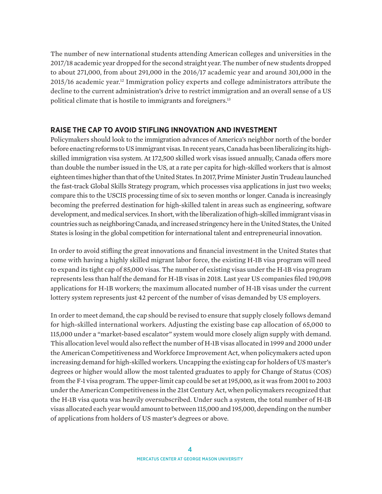The number of new international students attending American colleges and universities in the 2017/18 academic year dropped for the second straight year. The number of new students dropped to about 271,000, from about 291,000 in the 2016/17 academic year and around 301,000 in the 2015/16 academic year.12 Immigration policy experts and college administrators attribute the decline to the current administration's drive to restrict immigration and an overall sense of a US political climate that is hostile to immigrants and foreigners.13

## **RAISE THE CAP TO AVOID STIFLING INNOVATION AND INVESTMENT**

Policymakers should look to the immigration advances of America's neighbor north of the border before enacting reforms to US immigrant visas. In recent years, Canada has been liberalizing its highskilled immigration visa system. At 172,500 skilled work visas issued annually, Canada offers more than double the number issued in the US, at a rate per capita for high-skilled workers that is almost eighteen times higher than that of the United States. In 2017, Prime Minister Justin Trudeau launched the fast-track Global Skills Strategy program, which processes visa applications in just two weeks; compare this to the USCIS processing time of six to seven months or longer. Canada is increasingly becoming the preferred destination for high-skilled talent in areas such as engineering, software development, and medical services. In short, with the liberalization of high-skilled immigrant visas in countries such as neighboring Canada, and increased stringency here in the United States, the United States is losing in the global competition for international talent and entrepreneurial innovation.

In order to avoid stifling the great innovations and financial investment in the United States that come with having a highly skilled migrant labor force, the existing H-1B visa program will need to expand its tight cap of 85,000 visas. The number of existing visas under the H-1B visa program represents less than half the demand for H-1B visas in 2018. Last year US companies filed 190,098 applications for H-1B workers; the maximum allocated number of H-1B visas under the current lottery system represents just 42 percent of the number of visas demanded by US employers.

In order to meet demand, the cap should be revised to ensure that supply closely follows demand for high-skilled international workers. Adjusting the existing base cap allocation of 65,000 to 115,000 under a "market-based escalator" system would more closely align supply with demand. This allocation level would also reflect the number of H-1B visas allocated in 1999 and 2000 under the American Competitiveness and Workforce Improvement Act, when policymakers acted upon increasing demand for high-skilled workers. Uncapping the existing cap for holders of US master's degrees or higher would allow the most talented graduates to apply for Change of Status (COS) from the F-1 visa program. The upper-limit cap could be set at 195,000, as it was from 2001 to 2003 under the American Competitiveness in the 21st Century Act, when policymakers recognized that the H-1B visa quota was heavily oversubscribed. Under such a system, the total number of H-1B visas allocated each year would amount to between 115,000 and 195,000, depending on the number of applications from holders of US master's degrees or above.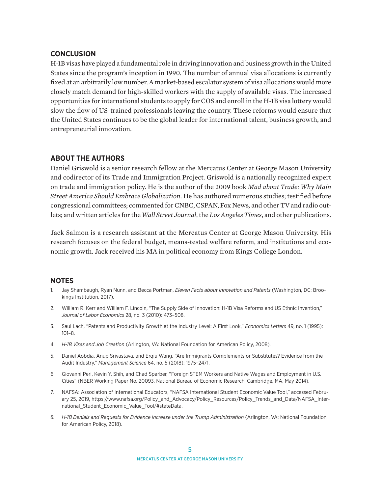#### **CONCLUSION**

H-1B visas have played a fundamental role in driving innovation and business growth in the United States since the program's inception in 1990. The number of annual visa allocations is currently fixed at an arbitrarily low number. A market-based escalator system of visa allocations would more closely match demand for high-skilled workers with the supply of available visas. The increased opportunities for international students to apply for COS and enroll in the H-1B visa lottery would slow the flow of US-trained professionals leaving the country. These reforms would ensure that the United States continues to be the global leader for international talent, business growth, and entrepreneurial innovation.

### **ABOUT THE AUTHORS**

Daniel Griswold is a senior research fellow at the Mercatus Center at George Mason University and codirector of its Trade and Immigration Project. Griswold is a nationally recognized expert on trade and immigration policy. He is the author of the 2009 book *Mad about Trade: Why Main Street America Should Embrace Globalization*. He has authored numerous studies; testified before congressional committees; commented for CNBC, CSPAN, Fox News*,* and other TV and radio outlets; and written articles for the *Wall Street Journal*, the *Los Angeles Times*, and other publications.

Jack Salmon is a research assistant at the Mercatus Center at George Mason University. His research focuses on the federal budget, means-tested welfare reform, and institutions and economic growth. Jack received his MA in political economy from Kings College London.

### **NOTES**

- 1. Jay Shambaugh, Ryan Nunn, and Becca Portman, *Eleven Facts about Innovation and Patents* (Washington, DC: Brookings Institution, 2017).
- 2. William R. Kerr and William F. Lincoln, "The Supply Side of Innovation: H-1B Visa Reforms and US Ethnic Invention," *Journal of Labor Economics* 28, no. 3 (2010): 473–508.
- 3. Saul Lach, "Patents and Productivity Growth at the Industry Level: A First Look," *Economics Letters* 49, no. 1 (1995): 101–8.
- 4. *H-1B Visas and Job Creation* (Arlington, VA: National Foundation for American Policy, 2008).
- 5. Daniel Aobdia, Anup Srivastava, and Erqiu Wang, "Are Immigrants Complements or Substitutes? Evidence from the Audit Industry," *Management Science* 64, no. 5 (2018): 1975–2471.
- 6. Giovanni Peri, Kevin Y. Shih, and Chad Sparber, "Foreign STEM Workers and Native Wages and Employment in U.S. Cities" (NBER Working Paper No. 20093, National Bureau of Economic Research, Cambridge, MA, May 2014).
- 7. NAFSA: Association of International Educators, "NAFSA International Student Economic Value Tool," accessed February 25, 2019, [https://www.nafsa.org/Policy\\_and\\_Advocacy/Policy\\_Resources/Policy\\_Trends\\_and\\_Data/NAFSA\\_Inter](https://www.nafsa.org/Policy_and_Advocacy/Policy_Resources/Policy_Trends_and_Data/NAFSA_International_Student_Economic_Value_Tool/#stateData)[national\\_Student\\_Economic\\_Value\\_Tool/#stateData](https://www.nafsa.org/Policy_and_Advocacy/Policy_Resources/Policy_Trends_and_Data/NAFSA_International_Student_Economic_Value_Tool/#stateData).
- *8. H-1B Denials and Requests for Evidence Increase under the Trump Administration* (Arlington, VA: National Foundation for American Policy, 2018).